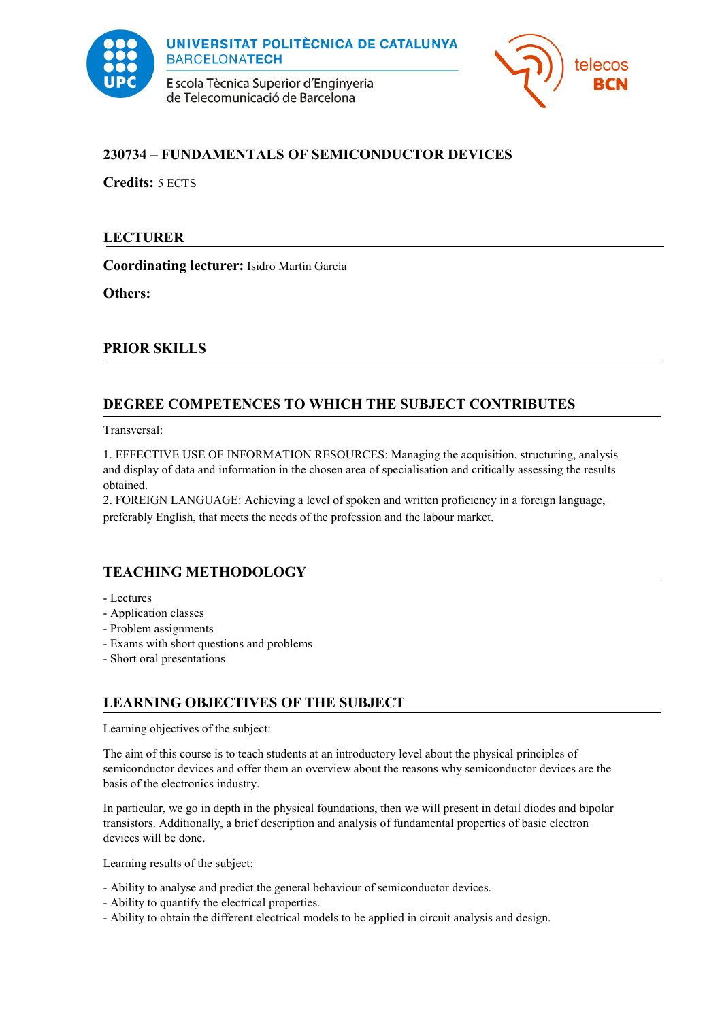

E scola Tècnica Superior d'Enginyeria de Telecomunicació de Barcelona



# **230734 – FUNDAMENTALS OF SEMICONDUCTOR DEVICES**

**Credits:** 5 ECTS

## **LECTURER**

**Coordinating lecturer:** Isidro Martín García

**Others:** 

## **PRIOR SKILLS**

# **DEGREE COMPETENCES TO WHICH THE SUBJECT CONTRIBUTES**

Transversal:

1. EFFECTIVE USE OF INFORMATION RESOURCES: Managing the acquisition, structuring, analysis and display of data and information in the chosen area of specialisation and critically assessing the results obtained.

2. FOREIGN LANGUAGE: Achieving a level of spoken and written proficiency in a foreign language, preferably English, that meets the needs of the profession and the labour market.

## **TEACHING METHODOLOGY**

- Lectures
- Application classes
- Problem assignments
- Exams with short questions and problems
- Short oral presentations

# **LEARNING OBJECTIVES OF THE SUBJECT**

Learning objectives of the subject:

The aim of this course is to teach students at an introductory level about the physical principles of semiconductor devices and offer them an overview about the reasons why semiconductor devices are the basis of the electronics industry.

In particular, we go in depth in the physical foundations, then we will present in detail diodes and bipolar transistors. Additionally, a brief description and analysis of fundamental properties of basic electron devices will be done.

Learning results of the subject:

- Ability to analyse and predict the general behaviour of semiconductor devices.
- Ability to quantify the electrical properties.
- Ability to obtain the different electrical models to be applied in circuit analysis and design.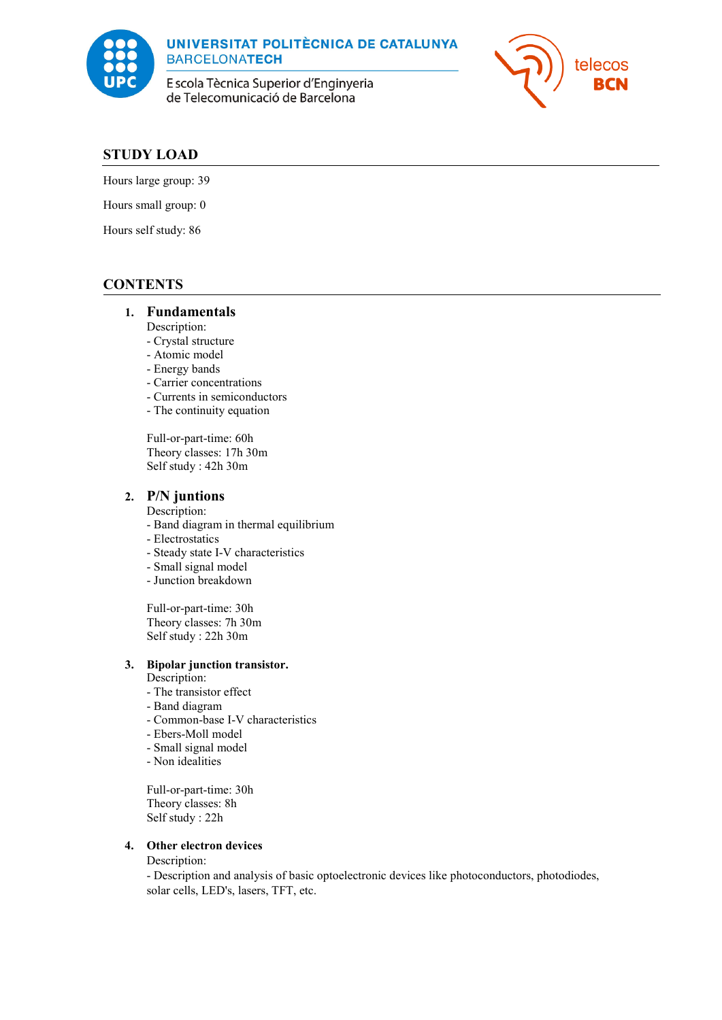

**UNIVERSITAT POLITÈCNICA DE CATALUNYA BARCELONATECH** 

E scola Tècnica Superior d'Enginyeria de Telecomunicació de Barcelona



#### **STUDY LOAD**

Hours large group: 39

Hours small group: 0

Hours self study: 86

## **CONTENTS**

#### **1. Fundamentals**

Description:

- Crystal structure
- Atomic model
- Energy bands
- Carrier concentrations
- Currents in semiconductors
- The continuity equation

Full-or-part-time: 60h Theory classes: 17h 30m Self study : 42h 30m

#### **2. P/N juntions**

Description:

- Band diagram in thermal equilibrium

- Electrostatics
- Steady state I-V characteristics
- Small signal model
- Junction breakdown

Full-or-part-time: 30h Theory classes: 7h 30m Self study : 22h 30m

#### **3. Bipolar junction transistor.**

Description:

- The transistor effect
- Band diagram
- Common-base I-V characteristics
- Ebers-Moll model
- Small signal model
- Non idealities

Full-or-part-time: 30h Theory classes: 8h Self study : 22h

#### **4. Other electron devices**

Description:

- Description and analysis of basic optoelectronic devices like photoconductors, photodiodes, solar cells, LED's, lasers, TFT, etc.